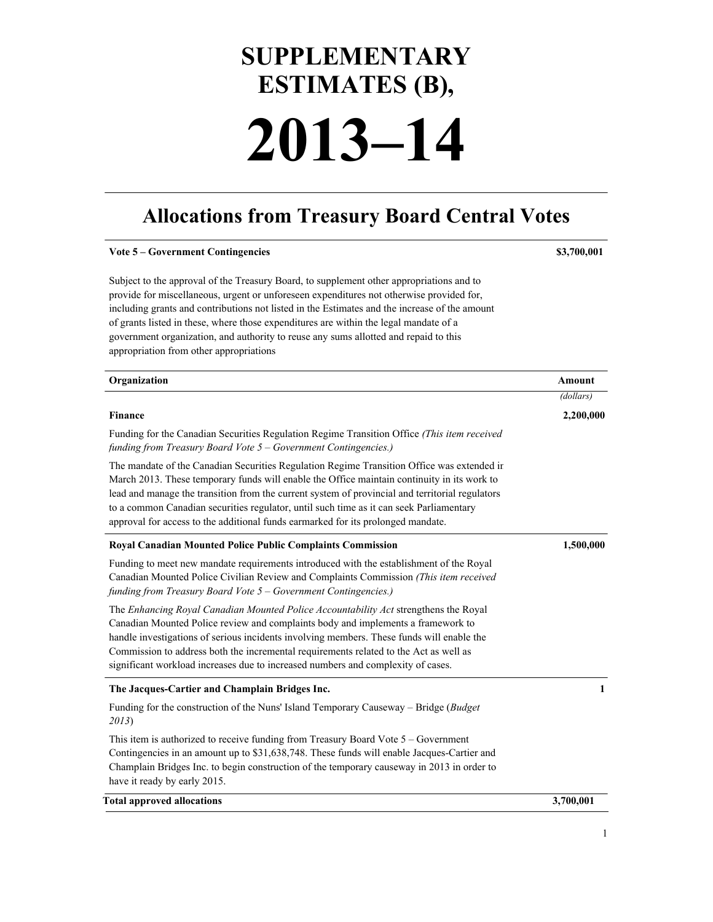# **SUPPLEMENTARY ESTIMATES (B), 2013–14**

## **Allocations from Treasury Board Central Votes**

| <b>Vote 5 - Government Contingencies</b>                                                                                                                                                                                                                                                                                                                                                                                                                                                                          | \$3,700,001 |
|-------------------------------------------------------------------------------------------------------------------------------------------------------------------------------------------------------------------------------------------------------------------------------------------------------------------------------------------------------------------------------------------------------------------------------------------------------------------------------------------------------------------|-------------|
| Subject to the approval of the Treasury Board, to supplement other appropriations and to<br>provide for miscellaneous, urgent or unforeseen expenditures not otherwise provided for,<br>including grants and contributions not listed in the Estimates and the increase of the amount<br>of grants listed in these, where those expenditures are within the legal mandate of a<br>government organization, and authority to reuse any sums allotted and repaid to this<br>appropriation from other appropriations |             |
| Organization                                                                                                                                                                                                                                                                                                                                                                                                                                                                                                      | Amount      |
|                                                                                                                                                                                                                                                                                                                                                                                                                                                                                                                   | (dollars)   |
| <b>Finance</b>                                                                                                                                                                                                                                                                                                                                                                                                                                                                                                    | 2,200,000   |
| Funding for the Canadian Securities Regulation Regime Transition Office (This item received<br>funding from Treasury Board Vote $5 -$ Government Contingencies.)                                                                                                                                                                                                                                                                                                                                                  |             |
| The mandate of the Canadian Securities Regulation Regime Transition Office was extended ir<br>March 2013. These temporary funds will enable the Office maintain continuity in its work to<br>lead and manage the transition from the current system of provincial and territorial regulators<br>to a common Canadian securities regulator, until such time as it can seek Parliamentary<br>approval for access to the additional funds earmarked for its prolonged mandate.                                       |             |
| Royal Canadian Mounted Police Public Complaints Commission                                                                                                                                                                                                                                                                                                                                                                                                                                                        | 1,500,000   |
| Funding to meet new mandate requirements introduced with the establishment of the Royal<br>Canadian Mounted Police Civilian Review and Complaints Commission (This item received<br>funding from Treasury Board Vote 5 - Government Contingencies.)                                                                                                                                                                                                                                                               |             |
| The Enhancing Royal Canadian Mounted Police Accountability Act strengthens the Royal<br>Canadian Mounted Police review and complaints body and implements a framework to<br>handle investigations of serious incidents involving members. These funds will enable the<br>Commission to address both the incremental requirements related to the Act as well as<br>significant workload increases due to increased numbers and complexity of cases.                                                                |             |
| The Jacques-Cartier and Champlain Bridges Inc.                                                                                                                                                                                                                                                                                                                                                                                                                                                                    | 1           |
| Funding for the construction of the Nuns' Island Temporary Causeway - Bridge (Budget<br>2013)                                                                                                                                                                                                                                                                                                                                                                                                                     |             |
| This item is authorized to receive funding from Treasury Board Vote 5 – Government<br>Contingencies in an amount up to \$31,638,748. These funds will enable Jacques-Cartier and<br>Champlain Bridges Inc. to begin construction of the temporary causeway in 2013 in order to<br>have it ready by early 2015.                                                                                                                                                                                                    |             |
| <b>Total approved allocations</b>                                                                                                                                                                                                                                                                                                                                                                                                                                                                                 | 3,700,001   |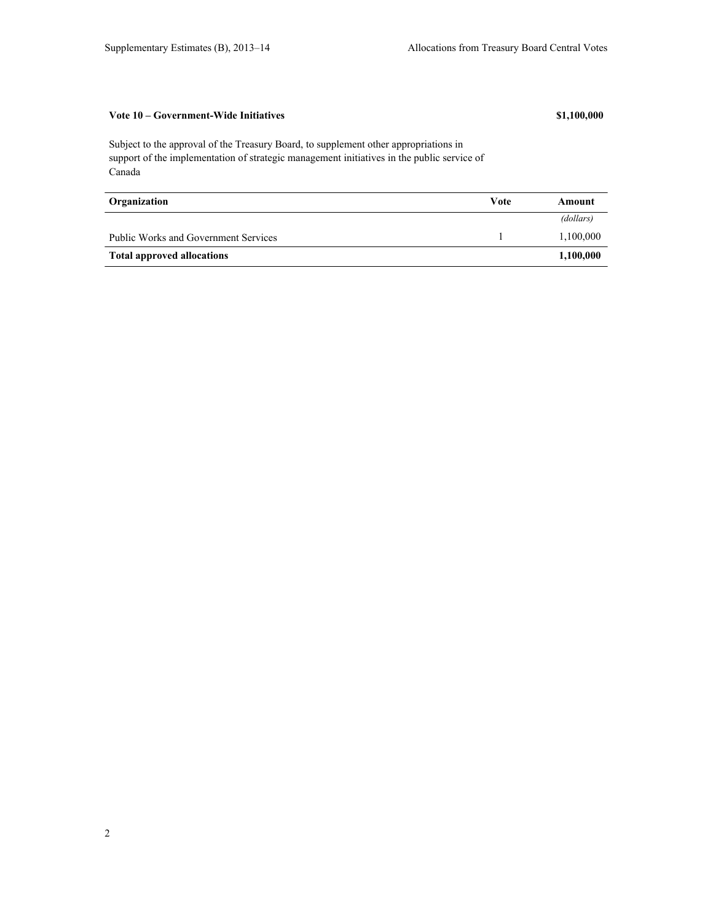## **Vote 10 – Government-Wide Initiatives \$1,100,000**

Subject to the approval of the Treasury Board, to supplement other appropriations in support of the implementation of strategic management initiatives in the public service of Canada

| Organization                                | Vote | Amount    |
|---------------------------------------------|------|-----------|
|                                             |      | (dollars) |
| <b>Public Works and Government Services</b> |      | 1,100,000 |
| <b>Total approved allocations</b>           |      | 1,100,000 |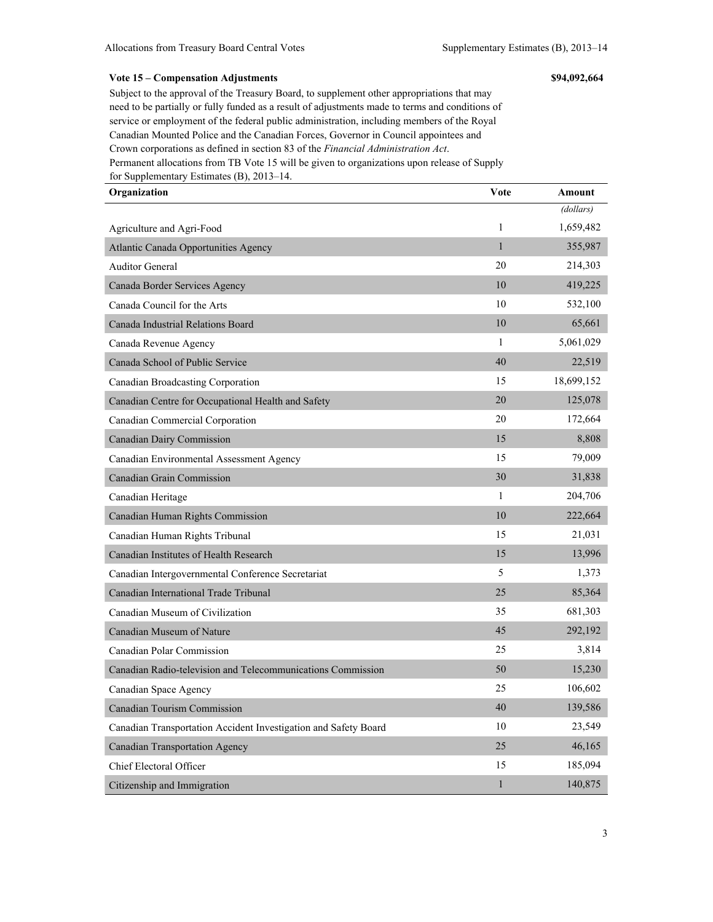#### **Vote 15 – Compensation Adjustments \$94,092,664**

Subject to the approval of the Treasury Board, to supplement other appropriations that may need to be partially or fully funded as a result of adjustments made to terms and conditions of service or employment of the federal public administration, including members of the Royal Canadian Mounted Police and the Canadian Forces, Governor in Council appointees and Crown corporations as defined in section 83 of the *Financial Administration Act*. Permanent allocations from TB Vote 15 will be given to organizations upon release of Supply for Supplementary Estimates (B), 2013–14.

| Organization                                                    | Vote         | Amount     |
|-----------------------------------------------------------------|--------------|------------|
|                                                                 |              | (dollars)  |
| Agriculture and Agri-Food                                       | $\mathbf{1}$ | 1,659,482  |
| Atlantic Canada Opportunities Agency                            | $\mathbf{1}$ | 355,987    |
| <b>Auditor General</b>                                          | 20           | 214,303    |
| Canada Border Services Agency                                   | 10           | 419,225    |
| Canada Council for the Arts                                     | 10           | 532,100    |
| Canada Industrial Relations Board                               | 10           | 65,661     |
| Canada Revenue Agency                                           | 1            | 5,061,029  |
| Canada School of Public Service                                 | 40           | 22,519     |
| Canadian Broadcasting Corporation                               | 15           | 18,699,152 |
| Canadian Centre for Occupational Health and Safety              | 20           | 125,078    |
| Canadian Commercial Corporation                                 | 20           | 172,664    |
| Canadian Dairy Commission                                       | 15           | 8,808      |
| Canadian Environmental Assessment Agency                        | 15           | 79,009     |
| Canadian Grain Commission                                       | 30           | 31,838     |
| Canadian Heritage                                               | 1            | 204,706    |
| Canadian Human Rights Commission                                | 10           | 222,664    |
| Canadian Human Rights Tribunal                                  | 15           | 21,031     |
| Canadian Institutes of Health Research                          | 15           | 13,996     |
| Canadian Intergovernmental Conference Secretariat               | 5            | 1,373      |
| Canadian International Trade Tribunal                           | 25           | 85,364     |
| Canadian Museum of Civilization                                 | 35           | 681,303    |
| Canadian Museum of Nature                                       | 45           | 292,192    |
| Canadian Polar Commission                                       | 25           | 3,814      |
| Canadian Radio-television and Telecommunications Commission     | 50           | 15,230     |
| Canadian Space Agency                                           | 25           | 106,602    |
| Canadian Tourism Commission                                     | 40           | 139,586    |
| Canadian Transportation Accident Investigation and Safety Board | 10           | 23,549     |
| <b>Canadian Transportation Agency</b>                           | 25           | 46,165     |
| Chief Electoral Officer                                         | 15           | 185,094    |
| Citizenship and Immigration                                     | $\mathbf{1}$ | 140,875    |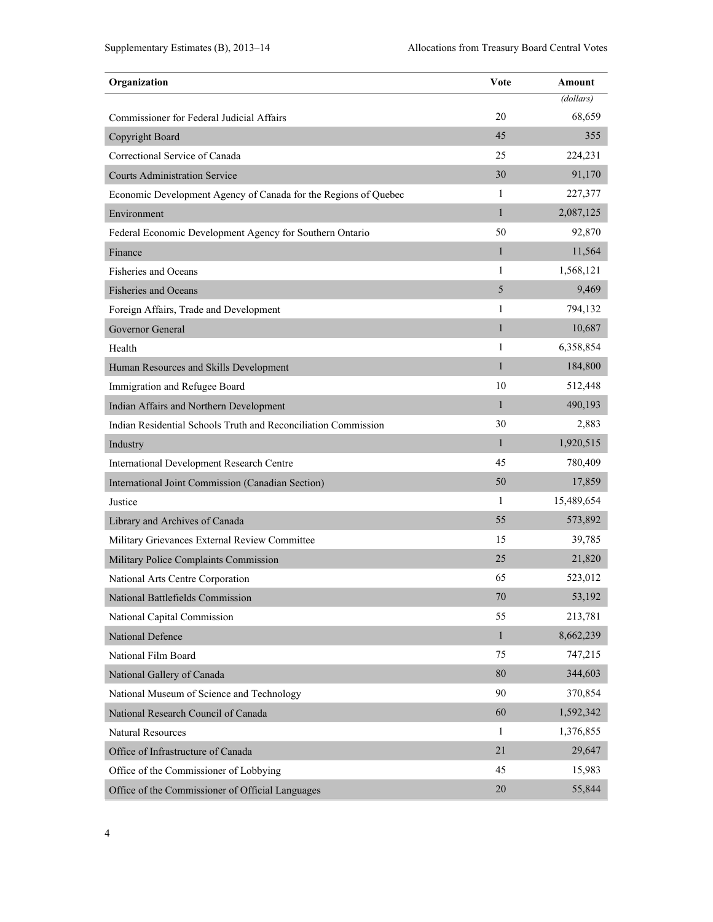| Organization                                                    | Vote         | Amount     |
|-----------------------------------------------------------------|--------------|------------|
|                                                                 |              | (dollars)  |
| Commissioner for Federal Judicial Affairs                       | 20           | 68,659     |
| Copyright Board                                                 | 45           | 355        |
| Correctional Service of Canada                                  | 25           | 224,231    |
| <b>Courts Administration Service</b>                            | 30           | 91,170     |
| Economic Development Agency of Canada for the Regions of Quebec | 1            | 227,377    |
| Environment                                                     | $\mathbf{1}$ | 2,087,125  |
| Federal Economic Development Agency for Southern Ontario        | 50           | 92,870     |
| Finance                                                         | $\mathbf{1}$ | 11,564     |
| <b>Fisheries and Oceans</b>                                     | 1            | 1,568,121  |
| <b>Fisheries and Oceans</b>                                     | 5            | 9,469      |
| Foreign Affairs, Trade and Development                          | 1            | 794,132    |
| Governor General                                                | 1            | 10,687     |
| Health                                                          | 1            | 6,358,854  |
| Human Resources and Skills Development                          | $\mathbf{1}$ | 184,800    |
| Immigration and Refugee Board                                   | 10           | 512,448    |
| Indian Affairs and Northern Development                         | $\mathbf{1}$ | 490,193    |
| Indian Residential Schools Truth and Reconciliation Commission  | 30           | 2,883      |
| Industry                                                        | 1            | 1,920,515  |
| <b>International Development Research Centre</b>                | 45           | 780,409    |
| International Joint Commission (Canadian Section)               | 50           | 17,859     |
| Justice                                                         | 1            | 15,489,654 |
| Library and Archives of Canada                                  | 55           | 573,892    |
| Military Grievances External Review Committee                   | 15           | 39,785     |
| Military Police Complaints Commission                           | 25           | 21,820     |
| National Arts Centre Corporation                                | 65           | 523,012    |
| National Battlefields Commission                                | 70           | 53,192     |
| National Capital Commission                                     | 55           | 213,781    |
| National Defence                                                | $\mathbf{1}$ | 8,662,239  |
| National Film Board                                             | 75           | 747,215    |
| National Gallery of Canada                                      | 80           | 344,603    |
| National Museum of Science and Technology                       | 90           | 370,854    |
| National Research Council of Canada                             | 60           | 1,592,342  |
| <b>Natural Resources</b>                                        | 1            | 1,376,855  |
| Office of Infrastructure of Canada                              | 21           | 29,647     |
| Office of the Commissioner of Lobbying                          | 45           | 15,983     |
| Office of the Commissioner of Official Languages                | 20           | 55,844     |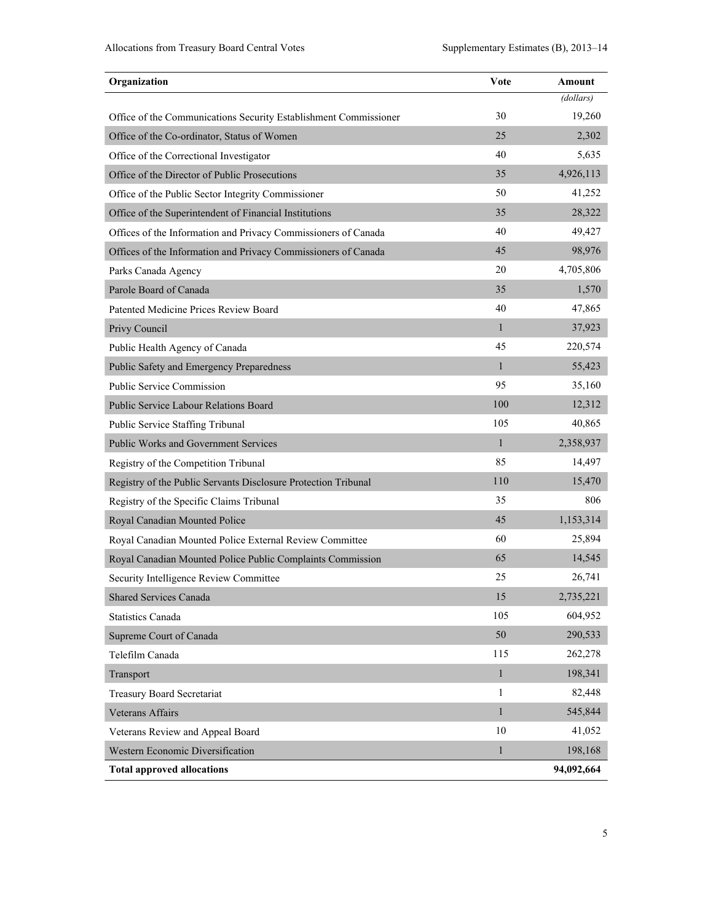| Organization                                                     | <b>Vote</b>  | Amount     |
|------------------------------------------------------------------|--------------|------------|
|                                                                  |              | (dollars)  |
| Office of the Communications Security Establishment Commissioner | 30           | 19,260     |
| Office of the Co-ordinator, Status of Women                      | 25           | 2,302      |
| Office of the Correctional Investigator                          | 40           | 5,635      |
| Office of the Director of Public Prosecutions                    | 35           | 4,926,113  |
| Office of the Public Sector Integrity Commissioner               | 50           | 41,252     |
| Office of the Superintendent of Financial Institutions           | 35           | 28,322     |
| Offices of the Information and Privacy Commissioners of Canada   | 40           | 49,427     |
| Offices of the Information and Privacy Commissioners of Canada   | 45           | 98,976     |
| Parks Canada Agency                                              | 20           | 4,705,806  |
| Parole Board of Canada                                           | 35           | 1,570      |
| Patented Medicine Prices Review Board                            | 40           | 47,865     |
| Privy Council                                                    | $\mathbf{1}$ | 37,923     |
| Public Health Agency of Canada                                   | 45           | 220,574    |
| Public Safety and Emergency Preparedness                         | $\mathbf{1}$ | 55,423     |
| <b>Public Service Commission</b>                                 | 95           | 35,160     |
| Public Service Labour Relations Board                            | 100          | 12,312     |
| Public Service Staffing Tribunal                                 | 105          | 40,865     |
| <b>Public Works and Government Services</b>                      | $\mathbf{1}$ | 2,358,937  |
| Registry of the Competition Tribunal                             | 85           | 14,497     |
| Registry of the Public Servants Disclosure Protection Tribunal   | 110          | 15,470     |
| Registry of the Specific Claims Tribunal                         | 35           | 806        |
| Royal Canadian Mounted Police                                    | 45           | 1,153,314  |
| Royal Canadian Mounted Police External Review Committee          | 60           | 25,894     |
| Royal Canadian Mounted Police Public Complaints Commission       | 65           | 14,545     |
| Security Intelligence Review Committee                           | 25           | 26,741     |
| <b>Shared Services Canada</b>                                    | 15           | 2,735,221  |
| <b>Statistics Canada</b>                                         | 105          | 604,952    |
| Supreme Court of Canada                                          | 50           | 290,533    |
| Telefilm Canada                                                  | 115          | 262,278    |
| Transport                                                        | $\mathbf{1}$ | 198,341    |
| <b>Treasury Board Secretariat</b>                                | 1            | 82,448     |
| <b>Veterans Affairs</b>                                          | $\mathbf{1}$ | 545,844    |
| Veterans Review and Appeal Board                                 | 10           | 41,052     |
| Western Economic Diversification                                 | $\mathbf{1}$ | 198,168    |
| <b>Total approved allocations</b>                                |              | 94,092,664 |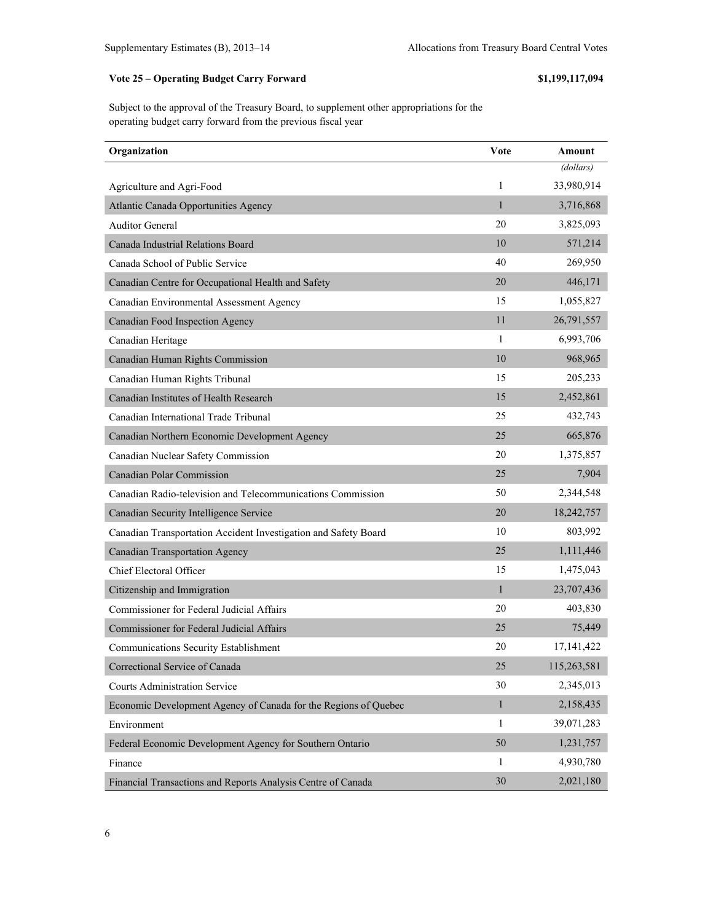## **Vote 25 – Operating Budget Carry Forward \$1,199,117,094**

Subject to the approval of the Treasury Board, to supplement other appropriations for the operating budget carry forward from the previous fiscal year

| Organization                                                    | Vote         | Amount       |
|-----------------------------------------------------------------|--------------|--------------|
|                                                                 |              | (dollars)    |
| Agriculture and Agri-Food                                       | 1            | 33,980,914   |
| Atlantic Canada Opportunities Agency                            | $\mathbf{1}$ | 3,716,868    |
| <b>Auditor General</b>                                          | 20           | 3,825,093    |
| Canada Industrial Relations Board                               | 10           | 571,214      |
| Canada School of Public Service                                 | 40           | 269,950      |
| Canadian Centre for Occupational Health and Safety              | 20           | 446,171      |
| Canadian Environmental Assessment Agency                        | 15           | 1,055,827    |
| Canadian Food Inspection Agency                                 | 11           | 26,791,557   |
| Canadian Heritage                                               | 1            | 6,993,706    |
| Canadian Human Rights Commission                                | 10           | 968,965      |
| Canadian Human Rights Tribunal                                  | 15           | 205,233      |
| Canadian Institutes of Health Research                          | 15           | 2,452,861    |
| Canadian International Trade Tribunal                           | 25           | 432,743      |
| Canadian Northern Economic Development Agency                   | 25           | 665,876      |
| Canadian Nuclear Safety Commission                              | 20           | 1,375,857    |
| <b>Canadian Polar Commission</b>                                | 25           | 7,904        |
| Canadian Radio-television and Telecommunications Commission     | 50           | 2,344,548    |
| Canadian Security Intelligence Service                          | 20           | 18,242,757   |
| Canadian Transportation Accident Investigation and Safety Board | 10           | 803,992      |
| <b>Canadian Transportation Agency</b>                           | 25           | 1,111,446    |
| Chief Electoral Officer                                         | 15           | 1,475,043    |
| Citizenship and Immigration                                     | $\mathbf{1}$ | 23,707,436   |
| Commissioner for Federal Judicial Affairs                       | 20           | 403,830      |
| <b>Commissioner for Federal Judicial Affairs</b>                | 25           | 75,449       |
| Communications Security Establishment                           | 20           | 17, 141, 422 |
| Correctional Service of Canada                                  | 25           | 115,263,581  |
| <b>Courts Administration Service</b>                            | 30           | 2,345,013    |
| Economic Development Agency of Canada for the Regions of Quebec | $\mathbf{1}$ | 2,158,435    |
| Environment                                                     | 1            | 39,071,283   |
| Federal Economic Development Agency for Southern Ontario        | 50           | 1,231,757    |
| Finance                                                         | $\mathbf{1}$ | 4,930,780    |
| Financial Transactions and Reports Analysis Centre of Canada    | 30           | 2,021,180    |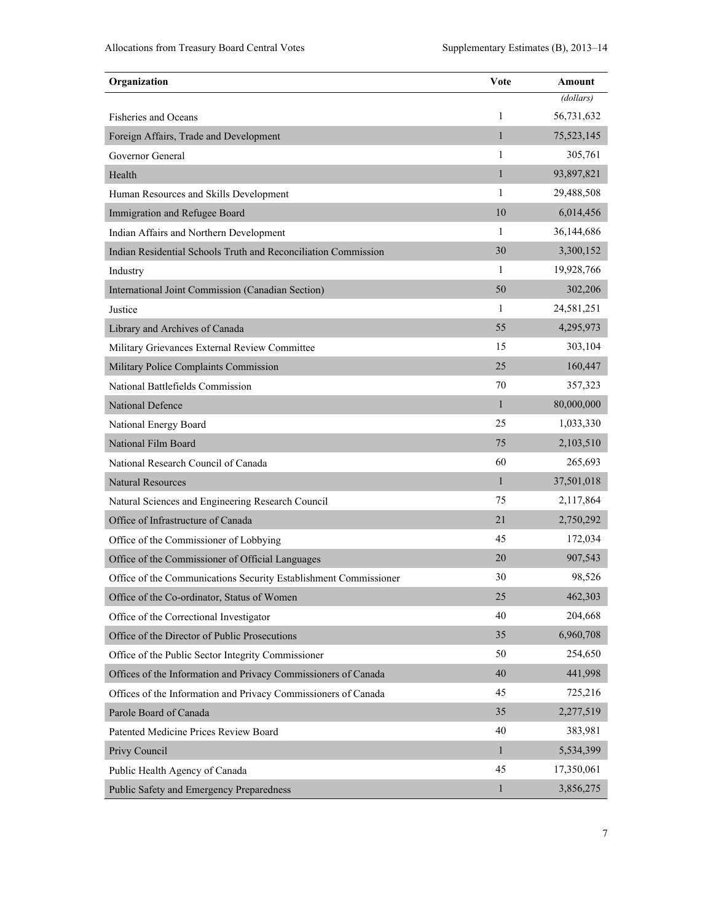| Organization                                                     | Vote         | Amount     |
|------------------------------------------------------------------|--------------|------------|
|                                                                  |              | (dollars)  |
| <b>Fisheries and Oceans</b>                                      | 1            | 56,731,632 |
| Foreign Affairs, Trade and Development                           | $\mathbf{1}$ | 75,523,145 |
| Governor General                                                 | 1            | 305,761    |
| Health                                                           | $\mathbf{1}$ | 93,897,821 |
| Human Resources and Skills Development                           | 1            | 29,488,508 |
| Immigration and Refugee Board                                    | 10           | 6,014,456  |
| Indian Affairs and Northern Development                          | 1            | 36,144,686 |
| Indian Residential Schools Truth and Reconciliation Commission   | 30           | 3,300,152  |
| Industry                                                         | $\mathbf{1}$ | 19,928,766 |
| International Joint Commission (Canadian Section)                | 50           | 302,206    |
| Justice                                                          | 1            | 24,581,251 |
| Library and Archives of Canada                                   | 55           | 4,295,973  |
| Military Grievances External Review Committee                    | 15           | 303,104    |
| Military Police Complaints Commission                            | 25           | 160,447    |
| National Battlefields Commission                                 | 70           | 357,323    |
| National Defence                                                 | 1            | 80,000,000 |
| National Energy Board                                            | 25           | 1,033,330  |
| National Film Board                                              | 75           | 2,103,510  |
| National Research Council of Canada                              | 60           | 265,693    |
| <b>Natural Resources</b>                                         | 1            | 37,501,018 |
| Natural Sciences and Engineering Research Council                | 75           | 2,117,864  |
| Office of Infrastructure of Canada                               | 21           | 2,750,292  |
| Office of the Commissioner of Lobbying                           | 45           | 172,034    |
| Office of the Commissioner of Official Languages                 | 20           | 907,543    |
| Office of the Communications Security Establishment Commissioner | 30           | 98,526     |
| Office of the Co-ordinator, Status of Women                      | 25           | 462,303    |
| Office of the Correctional Investigator                          | 40           | 204,668    |
| Office of the Director of Public Prosecutions                    | 35           | 6,960,708  |
| Office of the Public Sector Integrity Commissioner               | 50           | 254,650    |
| Offices of the Information and Privacy Commissioners of Canada   | 40           | 441,998    |
| Offices of the Information and Privacy Commissioners of Canada   | 45           | 725,216    |
| Parole Board of Canada                                           | 35           | 2,277,519  |
| Patented Medicine Prices Review Board                            | 40           | 383,981    |
| Privy Council                                                    | $\mathbf{1}$ | 5,534,399  |
| Public Health Agency of Canada                                   | 45           | 17,350,061 |
| Public Safety and Emergency Preparedness                         | $\mathbf{1}$ | 3,856,275  |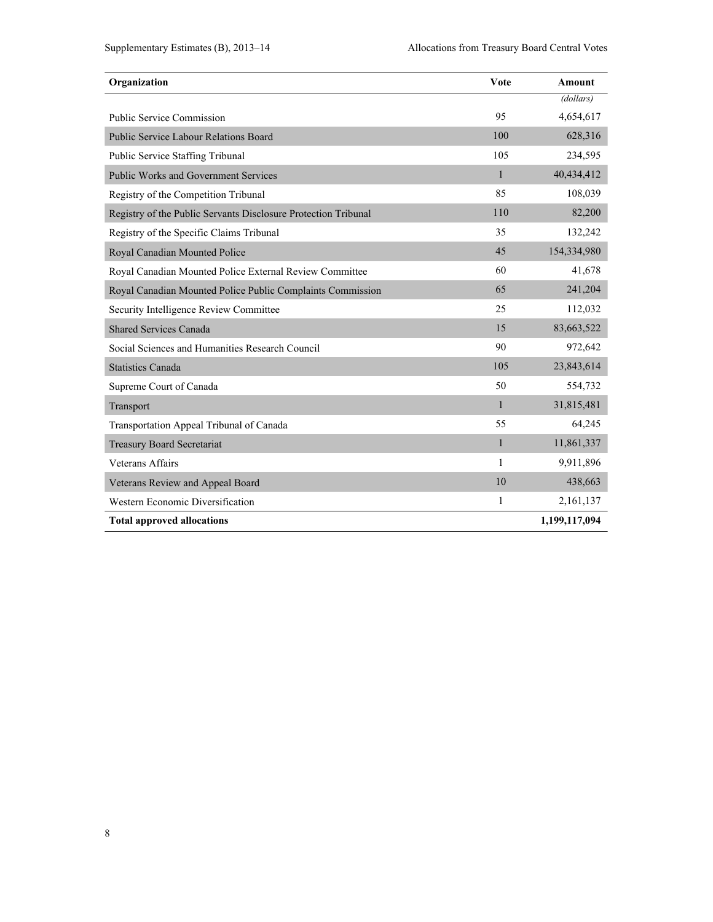| Organization                                                   | Vote         | Amount        |
|----------------------------------------------------------------|--------------|---------------|
|                                                                |              | (dollars)     |
| <b>Public Service Commission</b>                               | 95           | 4,654,617     |
| Public Service Labour Relations Board                          | 100          | 628,316       |
| Public Service Staffing Tribunal                               | 105          | 234,595       |
| <b>Public Works and Government Services</b>                    | $\mathbf{1}$ | 40,434,412    |
| Registry of the Competition Tribunal                           | 85           | 108,039       |
| Registry of the Public Servants Disclosure Protection Tribunal | 110          | 82,200        |
| Registry of the Specific Claims Tribunal                       | 35           | 132,242       |
| Royal Canadian Mounted Police                                  | 45           | 154,334,980   |
| Royal Canadian Mounted Police External Review Committee        | 60           | 41,678        |
| Royal Canadian Mounted Police Public Complaints Commission     | 65           | 241,204       |
| Security Intelligence Review Committee                         | 25           | 112,032       |
| <b>Shared Services Canada</b>                                  | 15           | 83,663,522    |
| Social Sciences and Humanities Research Council                | 90           | 972,642       |
| <b>Statistics Canada</b>                                       | 105          | 23,843,614    |
| Supreme Court of Canada                                        | 50           | 554,732       |
| Transport                                                      | $\mathbf{1}$ | 31,815,481    |
| Transportation Appeal Tribunal of Canada                       | 55           | 64,245        |
| <b>Treasury Board Secretariat</b>                              | $\mathbf{1}$ | 11,861,337    |
| <b>Veterans Affairs</b>                                        | 1            | 9,911,896     |
| Veterans Review and Appeal Board                               | 10           | 438,663       |
| Western Economic Diversification                               | 1            | 2,161,137     |
| <b>Total approved allocations</b>                              |              | 1,199,117,094 |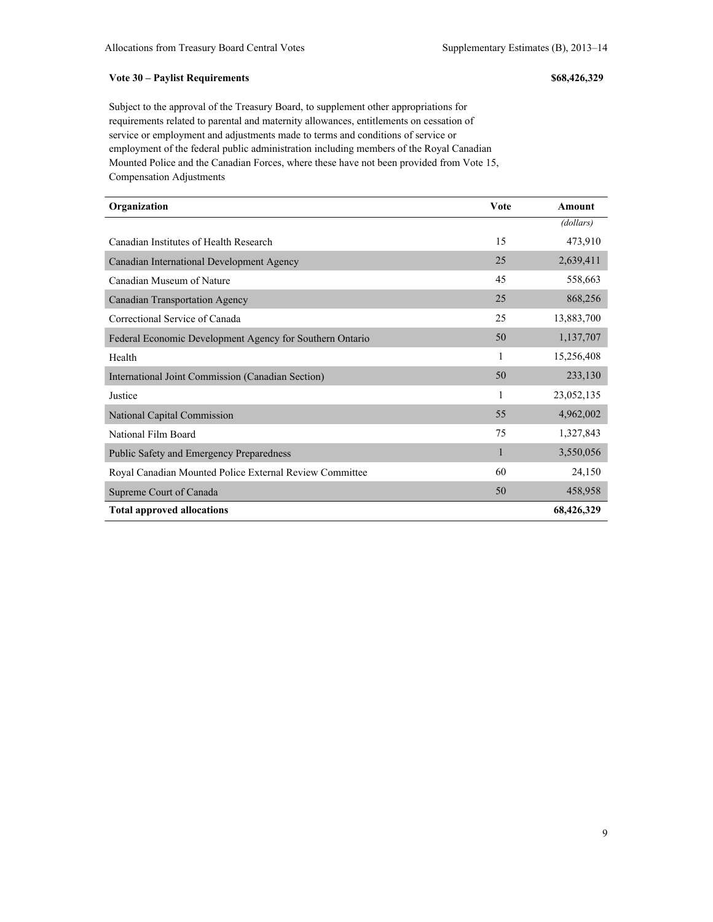#### **Vote 30 – Paylist Requirements \$68,426,329**

Subject to the approval of the Treasury Board, to supplement other appropriations for requirements related to parental and maternity allowances, entitlements on cessation of service or employment and adjustments made to terms and conditions of service or employment of the federal public administration including members of the Royal Canadian Mounted Police and the Canadian Forces, where these have not been provided from Vote 15, Compensation Adjustments

| Organization                                             | <b>Vote</b> | Amount     |
|----------------------------------------------------------|-------------|------------|
|                                                          |             | (dollars)  |
| Canadian Institutes of Health Research                   | 15          | 473,910    |
| Canadian International Development Agency                | 25          | 2,639,411  |
| Canadian Museum of Nature                                | 45          | 558,663    |
| Canadian Transportation Agency                           | 25          | 868,256    |
| Correctional Service of Canada                           | 25          | 13,883,700 |
| Federal Economic Development Agency for Southern Ontario | 50          | 1,137,707  |
| Health                                                   | 1           | 15,256,408 |
| International Joint Commission (Canadian Section)        | 50          | 233,130    |
| Justice                                                  | 1           | 23,052,135 |
| National Capital Commission                              | 55          | 4,962,002  |
| National Film Board                                      | 75          | 1,327,843  |
| <b>Public Safety and Emergency Preparedness</b>          | 1           | 3,550,056  |
| Royal Canadian Mounted Police External Review Committee  | 60          | 24,150     |
| Supreme Court of Canada                                  | 50          | 458,958    |
| <b>Total approved allocations</b>                        |             | 68,426,329 |